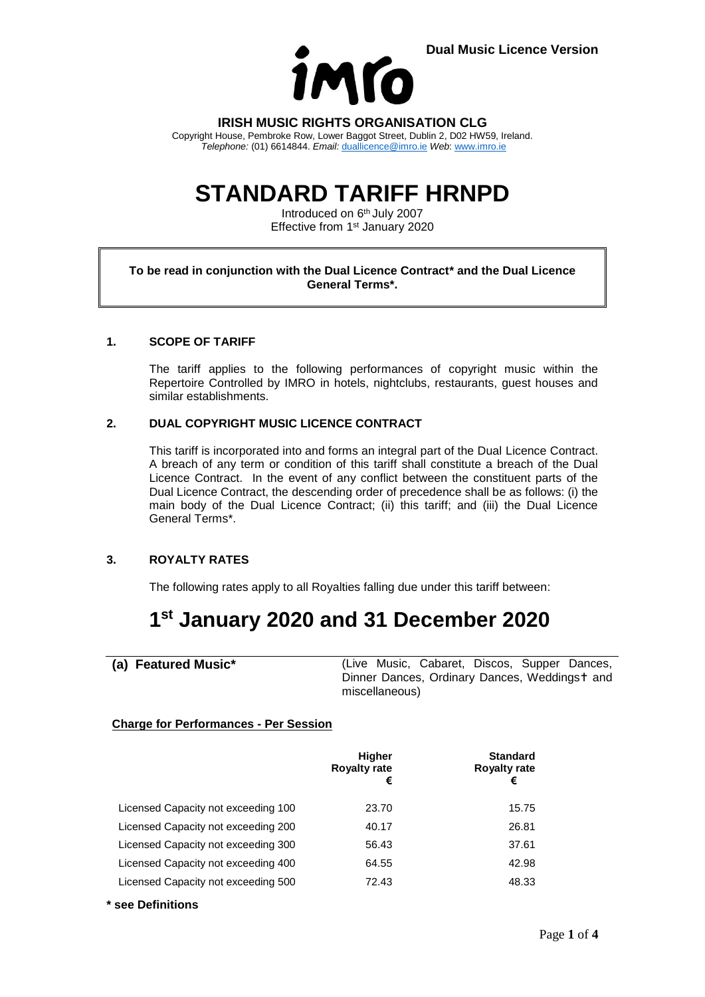

**IRISH MUSIC RIGHTS ORGANISATION CLG**

Copyright House, Pembroke Row, Lower Baggot Street, Dublin 2, D02 HW59, Ireland. *Telephone:* (01) 6614844. *Email:* [duallicence@imro.ie](mailto:duallicence@imro.ie) *Web*: [www.imro.ie](http://www.imro.ie/)

# **STANDARD TARIFF HRNPD**

Introduced on 6<sup>th</sup> July 2007 Effective from 1<sup>st</sup> January 2020

#### **To be read in conjunction with the Dual Licence Contract\* and the Dual Licence General Terms\*.**

### **1. SCOPE OF TARIFF**

The tariff applies to the following performances of copyright music within the Repertoire Controlled by IMRO in hotels, nightclubs, restaurants, guest houses and similar establishments.

### **2. DUAL COPYRIGHT MUSIC LICENCE CONTRACT**

This tariff is incorporated into and forms an integral part of the Dual Licence Contract. A breach of any term or condition of this tariff shall constitute a breach of the Dual Licence Contract. In the event of any conflict between the constituent parts of the Dual Licence Contract, the descending order of precedence shall be as follows: (i) the main body of the Dual Licence Contract; (ii) this tariff; and (iii) the Dual Licence General Terms\*.

### **3. ROYALTY RATES**

The following rates apply to all Royalties falling due under this tariff between:

# **1 st January 2020 and 31 December 2020**

**(a) Featured Music\*** (Live Music, Cabaret, Discos, Supper Dances, Dinner Dances, Ordinary Dances, Weddingst and miscellaneous)

### **Charge for Performances - Per Session**

|                                     | <b>Higher</b><br><b>Royalty rate</b><br>€ | <b>Standard</b><br><b>Royalty rate</b><br>€ |
|-------------------------------------|-------------------------------------------|---------------------------------------------|
| Licensed Capacity not exceeding 100 | 23.70                                     | 15.75                                       |
| Licensed Capacity not exceeding 200 | 40.17                                     | 26.81                                       |
| Licensed Capacity not exceeding 300 | 56.43                                     | 37.61                                       |
| Licensed Capacity not exceeding 400 | 64.55                                     | 42.98                                       |
| Licensed Capacity not exceeding 500 | 72.43                                     | 48.33                                       |

**\* see Definitions**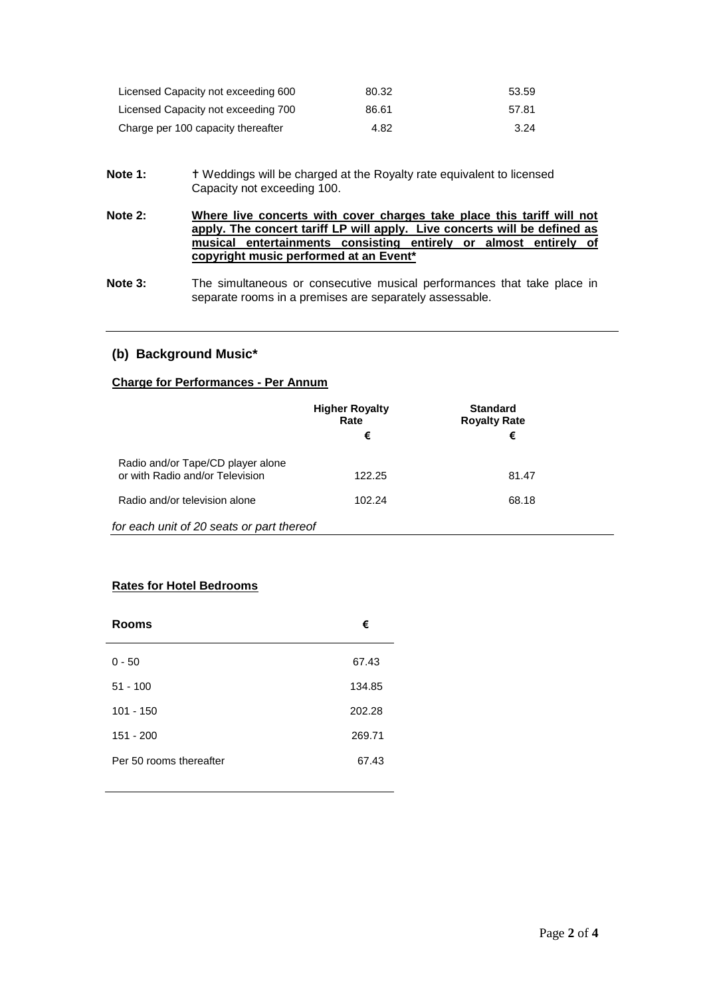| Licensed Capacity not exceeding 600 | 80.32 | 53.59 |
|-------------------------------------|-------|-------|
| Licensed Capacity not exceeding 700 | 86.61 | 57.81 |
| Charge per 100 capacity thereafter  | 4.82  | 3.24  |

- Note 1: **T** Weddings will be charged at the Royalty rate equivalent to licensed Capacity not exceeding 100.
- **Note 2: Where live concerts with cover charges take place this tariff will not apply. The concert tariff LP will apply. Live concerts will be defined as musical entertainments consisting entirely or almost entirely of copyright music performed at an Event\***
- **Note 3:** The simultaneous or consecutive musical performances that take place in separate rooms in a premises are separately assessable.

# **(b) Background Music\***

#### **Charge for Performances - Per Annum**

|                                                                      | <b>Higher Royalty</b><br>Rate | <b>Standard</b><br><b>Royalty Rate</b> |  |
|----------------------------------------------------------------------|-------------------------------|----------------------------------------|--|
|                                                                      | €                             | €                                      |  |
| Radio and/or Tape/CD player alone<br>or with Radio and/or Television | 122.25                        | 81.47                                  |  |
| Radio and/or television alone                                        | 102.24                        | 68.18                                  |  |
| for each unit of 20 seats or part thereof                            |                               |                                        |  |

# **Rates for Hotel Bedrooms**

| <b>Rooms</b>            | €      |
|-------------------------|--------|
| $0 - 50$                | 67.43  |
| $51 - 100$              | 134.85 |
| $101 - 150$             | 202.28 |
| $151 - 200$             | 269.71 |
| Per 50 rooms thereafter | 67.43  |
|                         |        |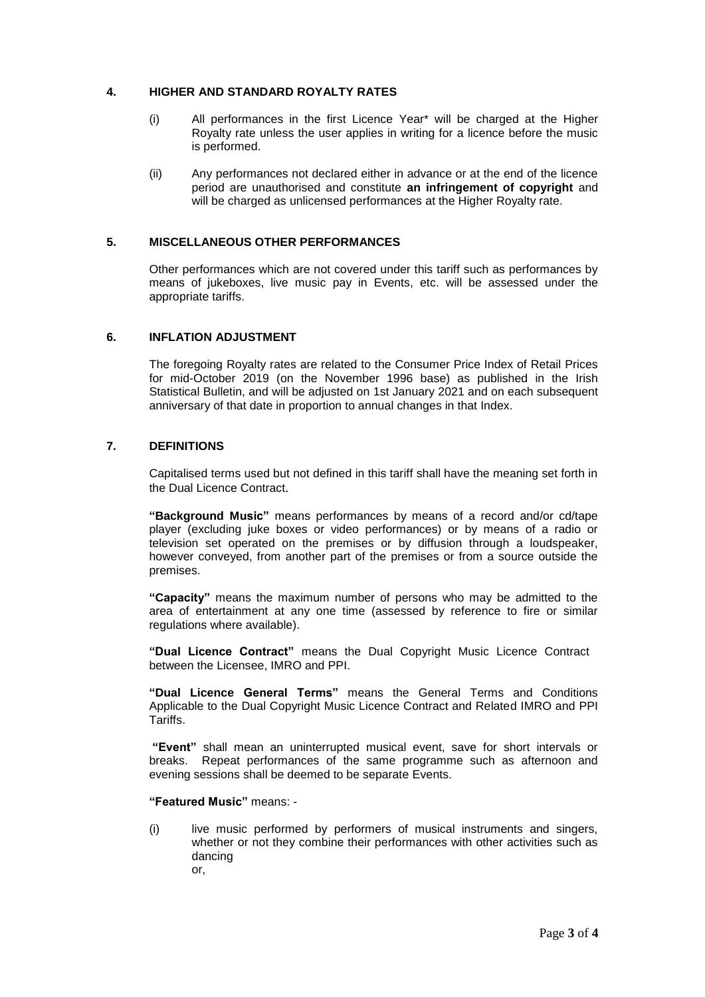#### **4. HIGHER AND STANDARD ROYALTY RATES**

- (i) All performances in the first Licence Year\* will be charged at the Higher Royalty rate unless the user applies in writing for a licence before the music is performed.
- (ii) Any performances not declared either in advance or at the end of the licence period are unauthorised and constitute **an infringement of copyright** and will be charged as unlicensed performances at the Higher Royalty rate.

#### **5. MISCELLANEOUS OTHER PERFORMANCES**

Other performances which are not covered under this tariff such as performances by means of jukeboxes, live music pay in Events, etc. will be assessed under the appropriate tariffs.

#### **6. INFLATION ADJUSTMENT**

The foregoing Royalty rates are related to the Consumer Price Index of Retail Prices for mid-October 2019 (on the November 1996 base) as published in the Irish Statistical Bulletin, and will be adjusted on 1st January 2021 and on each subsequent anniversary of that date in proportion to annual changes in that Index.

### **7. DEFINITIONS**

Capitalised terms used but not defined in this tariff shall have the meaning set forth in the Dual Licence Contract.

**"Background Music"** means performances by means of a record and/or cd/tape player (excluding juke boxes or video performances) or by means of a radio or television set operated on the premises or by diffusion through a loudspeaker, however conveyed, from another part of the premises or from a source outside the premises.

**"Capacity"** means the maximum number of persons who may be admitted to the area of entertainment at any one time (assessed by reference to fire or similar regulations where available).

**"Dual Licence Contract"** means the Dual Copyright Music Licence Contract between the Licensee, IMRO and PPI.

**"Dual Licence General Terms"** means the General Terms and Conditions Applicable to the Dual Copyright Music Licence Contract and Related IMRO and PPI Tariffs.

**"Event"** shall mean an uninterrupted musical event, save for short intervals or breaks. Repeat performances of the same programme such as afternoon and evening sessions shall be deemed to be separate Events.

#### **"Featured Music"** means: -

(i) live music performed by performers of musical instruments and singers, whether or not they combine their performances with other activities such as dancing or,